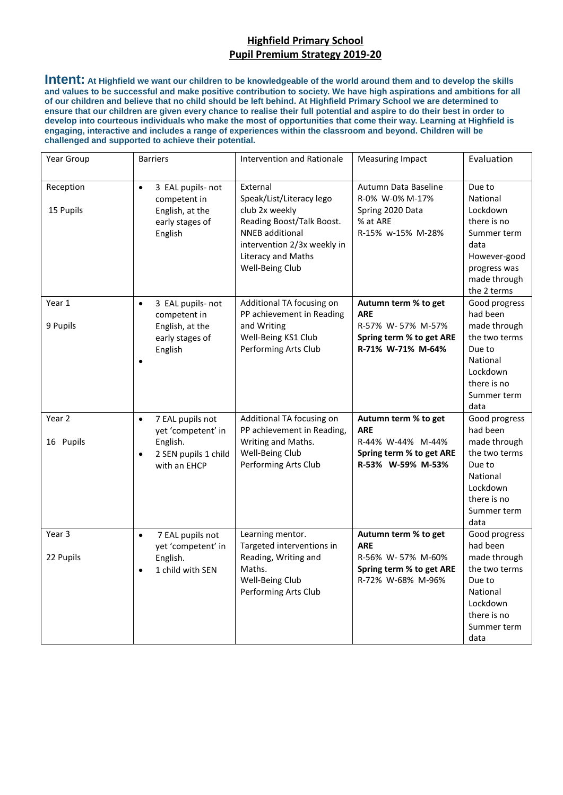## **Highfield Primary School Pupil Premium Strategy 2019-20**

**Intent: At Highfield we want our children to be knowledgeable of the world around them and to develop the skills and values to be successful and make positive contribution to society. We have high aspirations and ambitions for all of our children and believe that no child should be left behind. At Highfield Primary School we are determined to ensure that our children are given every chance to realise their full potential and aspire to do their best in order to develop into courteous individuals who make the most of opportunities that come their way. Learning at Highfield is engaging, interactive and includes a range of experiences within the classroom and beyond. Children will be challenged and supported to achieve their potential.** 

| Year Group             | <b>Barriers</b>                                                                                                      | Intervention and Rationale                                                                                                                                                            | <b>Measuring Impact</b>                                                                                  | Evaluation                                                                                                                          |
|------------------------|----------------------------------------------------------------------------------------------------------------------|---------------------------------------------------------------------------------------------------------------------------------------------------------------------------------------|----------------------------------------------------------------------------------------------------------|-------------------------------------------------------------------------------------------------------------------------------------|
| Reception<br>15 Pupils | 3 EAL pupils- not<br>$\bullet$<br>competent in<br>English, at the<br>early stages of<br>English                      | External<br>Speak/List/Literacy lego<br>club 2x weekly<br>Reading Boost/Talk Boost.<br><b>NNEB</b> additional<br>intervention 2/3x weekly in<br>Literacy and Maths<br>Well-Being Club | Autumn Data Baseline<br>R-0% W-0% M-17%<br>Spring 2020 Data<br>% at ARE<br>R-15% w-15% M-28%             | Due to<br>National<br>Lockdown<br>there is no<br>Summer term<br>data<br>However-good<br>progress was<br>made through<br>the 2 terms |
| Year 1<br>9 Pupils     | 3 EAL pupils- not<br>$\bullet$<br>competent in<br>English, at the<br>early stages of<br>English                      | Additional TA focusing on<br>PP achievement in Reading<br>and Writing<br>Well-Being KS1 Club<br>Performing Arts Club                                                                  | Autumn term % to get<br><b>ARE</b><br>R-57% W-57% M-57%<br>Spring term % to get ARE<br>R-71% W-71% M-64% | Good progress<br>had been<br>made through<br>the two terms<br>Due to<br>National<br>Lockdown<br>there is no<br>Summer term<br>data  |
| Year 2<br>16 Pupils    | 7 EAL pupils not<br>$\bullet$<br>yet 'competent' in<br>English.<br>2 SEN pupils 1 child<br>$\bullet$<br>with an EHCP | Additional TA focusing on<br>PP achievement in Reading,<br>Writing and Maths.<br>Well-Being Club<br>Performing Arts Club                                                              | Autumn term % to get<br><b>ARE</b><br>R-44% W-44% M-44%<br>Spring term % to get ARE<br>R-53% W-59% M-53% | Good progress<br>had been<br>made through<br>the two terms<br>Due to<br>National<br>Lockdown<br>there is no<br>Summer term<br>data  |
| Year 3<br>22 Pupils    | 7 EAL pupils not<br>$\bullet$<br>yet 'competent' in<br>English.<br>1 child with SEN<br>$\bullet$                     | Learning mentor.<br>Targeted interventions in<br>Reading, Writing and<br>Maths.<br>Well-Being Club<br>Performing Arts Club                                                            | Autumn term % to get<br><b>ARE</b><br>R-56% W-57% M-60%<br>Spring term % to get ARE<br>R-72% W-68% M-96% | Good progress<br>had been<br>made through<br>the two terms<br>Due to<br>National<br>Lockdown<br>there is no<br>Summer term<br>data  |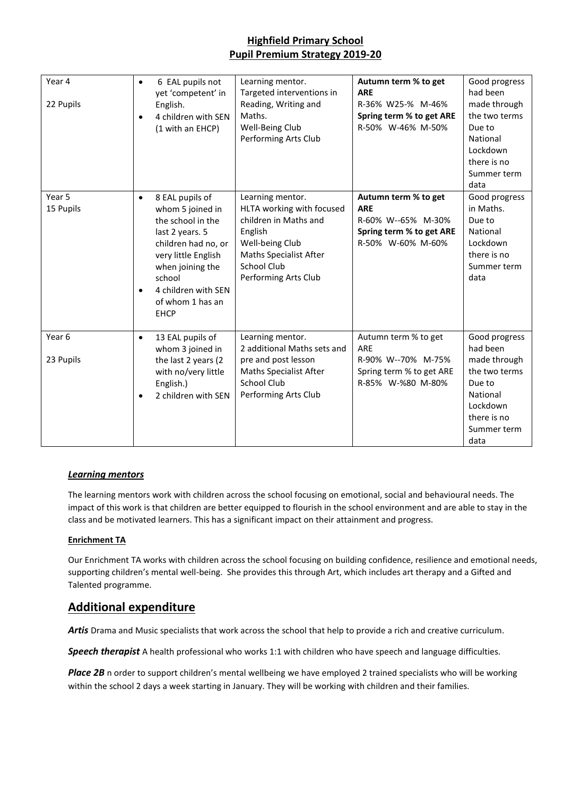# **Highfield Primary School Pupil Premium Strategy 2019-20**

| Year 4<br>22 Pupils            | $\bullet$              | 6 EAL pupils not<br>yet 'competent' in<br>English.<br>4 children with SEN<br>(1 with an EHCP)                                                                                                                     | Learning mentor.<br>Targeted interventions in<br>Reading, Writing and<br>Maths.<br>Well-Being Club<br>Performing Arts Club                                                   | Autumn term % to get<br><b>ARE</b><br>R-36% W25-% M-46%<br>Spring term % to get ARE<br>R-50% W-46% M-50%  | Good progress<br>had been<br>made through<br>the two terms<br>Due to<br>National<br>Lockdown<br>there is no<br>Summer term<br>data |
|--------------------------------|------------------------|-------------------------------------------------------------------------------------------------------------------------------------------------------------------------------------------------------------------|------------------------------------------------------------------------------------------------------------------------------------------------------------------------------|-----------------------------------------------------------------------------------------------------------|------------------------------------------------------------------------------------------------------------------------------------|
| Year 5<br>15 Pupils            | $\bullet$<br>$\bullet$ | 8 EAL pupils of<br>whom 5 joined in<br>the school in the<br>last 2 years. 5<br>children had no, or<br>very little English<br>when joining the<br>school<br>4 children with SEN<br>of whom 1 has an<br><b>EHCP</b> | Learning mentor.<br>HLTA working with focused<br>children in Maths and<br>English<br>Well-being Club<br><b>Maths Specialist After</b><br>School Club<br>Performing Arts Club | Autumn term % to get<br><b>ARE</b><br>R-60% W--65% M-30%<br>Spring term % to get ARE<br>R-50% W-60% M-60% | Good progress<br>in Maths.<br>Due to<br>National<br>Lockdown<br>there is no<br>Summer term<br>data                                 |
| Year <sub>6</sub><br>23 Pupils | $\bullet$<br>$\bullet$ | 13 EAL pupils of<br>whom 3 joined in<br>the last 2 years (2<br>with no/very little<br>English.)<br>2 children with SEN                                                                                            | Learning mentor.<br>2 additional Maths sets and<br>pre and post lesson<br><b>Maths Specialist After</b><br><b>School Club</b><br>Performing Arts Club                        | Autumn term % to get<br>ARE<br>R-90% W--70% M-75%<br>Spring term % to get ARE<br>R-85% W-%80 M-80%        | Good progress<br>had been<br>made through<br>the two terms<br>Due to<br>National<br>Lockdown<br>there is no<br>Summer term<br>data |

### *Learning mentors*

The learning mentors work with children across the school focusing on emotional, social and behavioural needs. The impact of this work is that children are better equipped to flourish in the school environment and are able to stay in the class and be motivated learners. This has a significant impact on their attainment and progress.

#### **Enrichment TA**

Our Enrichment TA works with children across the school focusing on building confidence, resilience and emotional needs, supporting children's mental well-being. She provides this through Art, which includes art therapy and a Gifted and Talented programme.

### **Additional expenditure**

*Artis* Drama and Music specialists that work across the school that help to provide a rich and creative curriculum.

*Speech therapist* A health professional who works 1:1 with children who have speech and language difficulties.

Place 2B n order to support children's mental wellbeing we have employed 2 trained specialists who will be working within the school 2 days a week starting in January. They will be working with children and their families.